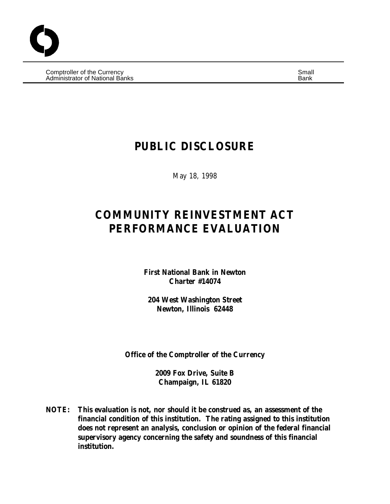Comptroller of the Currency Small and Comptete and Comptete and Small and Small and Small and Small and Small Administrator of National Banks Banks Banks Banks Bank Banks Banks Banks Banks Banks Banks Banks Banks Banks B

## **PUBLIC DISCLOSURE**

May 18, 1998

# **COMMUNITY REINVESTMENT ACT PERFORMANCE EVALUATION**

**First National Bank in Newton Charter #14074**

**204 West Washington Street Newton, Illinois 62448**

**Office of the Comptroller of the Currency**

**2009 Fox Drive, Suite B Champaign, IL 61820**

**NOTE: This evaluation is not, nor should it be construed as, an assessment of the financial condition of this institution. The rating assigned to this institution does not represent an analysis, conclusion or opinion of the federal financial supervisory agency concerning the safety and soundness of this financial institution.**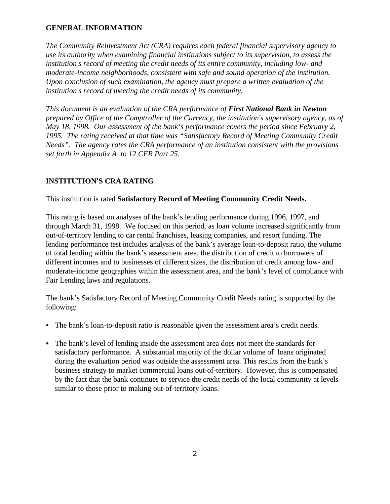## **GENERAL INFORMATION**

*The Community Reinvestment Act (CRA) requires each federal financial supervisory agency to use its authority when examining financial institutions subject to its supervision, to assess the institution's record of meeting the credit needs of its entire community, including low- and moderate-income neighborhoods, consistent with safe and sound operation of the institution. Upon conclusion of such examination, the agency must prepare a written evaluation of the institution's record of meeting the credit needs of its community.*

*This document is an evaluation of the CRA performance of First National Bank in Newton prepared by Office of the Comptroller of the Currency, the institution's supervisory agency, as of May 18, 1998. Our assessment of the bank's performance covers the period since February 2, 1995. The rating received at that time was "Satisfactory Record of Meeting Community Credit Needs". The agency rates the CRA performance of an institution consistent with the provisions set forth in Appendix A to 12 CFR Part 25.*

## **INSTITUTION'S CRA RATING**

#### This institution is rated **Satisfactory Record of Meeting Community Credit Needs.**

This rating is based on analyses of the bank's lending performance during 1996, 1997, and through March 31, 1998. We focused on this period, as loan volume increased significantly from out-of-territory lending to car rental franchises, leasing companies, and resort funding. The lending performance test includes analysis of the bank's average loan-to-deposit ratio, the volume of total lending within the bank's assessment area, the distribution of credit to borrowers of different incomes and to businesses of different sizes, the distribution of credit among low- and moderate-income geographies within the assessment area, and the bank's level of compliance with Fair Lending laws and regulations.

The bank's Satisfactory Record of Meeting Community Credit Needs rating is supported by the following:

- The bank's loan-to-deposit ratio is reasonable given the assessment area's credit needs.
- The bank's level of lending inside the assessment area does not meet the standards for satisfactory performance. A substantial majority of the dollar volume of loans originated during the evaluation period was outside the assessment area. This results from the bank's business strategy to market commercial loans out-of-territory. However, this is compensated by the fact that the bank continues to service the credit needs of the local community at levels similar to those prior to making out-of-territory loans.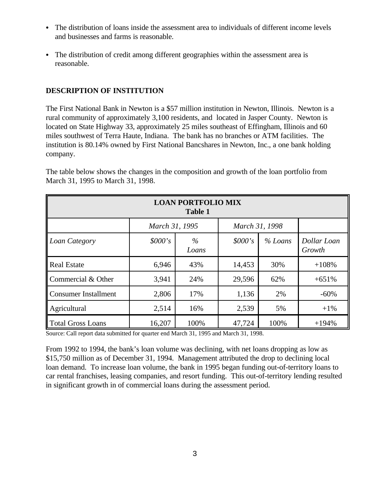- The distribution of loans inside the assessment area to individuals of different income levels and businesses and farms is reasonable.
- The distribution of credit among different geographies within the assessment area is reasonable.

## **DESCRIPTION OF INSTITUTION**

The First National Bank in Newton is a \$57 million institution in Newton, Illinois. Newton is a rural community of approximately 3,100 residents, and located in Jasper County. Newton is located on State Highway 33, approximately 25 miles southeast of Effingham, Illinois and 60 miles southwest of Terra Haute, Indiana. The bank has no branches or ATM facilities. The institution is 80.14% owned by First National Bancshares in Newton, Inc., a one bank holding company.

| <b>LOAN PORTFOLIO MIX</b><br><b>Table 1</b> |                                  |      |         |         |                       |  |  |  |  |
|---------------------------------------------|----------------------------------|------|---------|---------|-----------------------|--|--|--|--|
|                                             | March 31, 1995<br>March 31, 1998 |      |         |         |                       |  |  |  |  |
| Loan Category                               | \$000's<br>$\%$<br>Loans         |      | \$000's | % Loans | Dollar Loan<br>Growth |  |  |  |  |
| <b>Real Estate</b>                          | 6,946                            | 43%  | 14,453  | 30%     | $+108%$               |  |  |  |  |
| Commercial & Other                          | 3,941                            | 24%  | 29,596  | 62%     | $+651%$               |  |  |  |  |
| <b>Consumer Installment</b>                 | 2,806                            | 17%  | 1,136   | 2%      | $-60%$                |  |  |  |  |
| Agricultural                                | 2,514                            | 16%  | 2,539   | 5%      | $+1\%$                |  |  |  |  |
| Total Gross Loans                           | 16,207                           | 100% | 47,724  | 100%    | $+194%$               |  |  |  |  |

The table below shows the changes in the composition and growth of the loan portfolio from March 31, 1995 to March 31, 1998.

Source: Call report data submitted for quarter end March 31, 1995 and March 31, 1998.

From 1992 to 1994, the bank's loan volume was declining, with net loans dropping as low as \$15,750 million as of December 31, 1994. Management attributed the drop to declining local loan demand. To increase loan volume, the bank in 1995 began funding out-of-territory loans to car rental franchises, leasing companies, and resort funding. This out-of-territory lending resulted in significant growth in of commercial loans during the assessment period.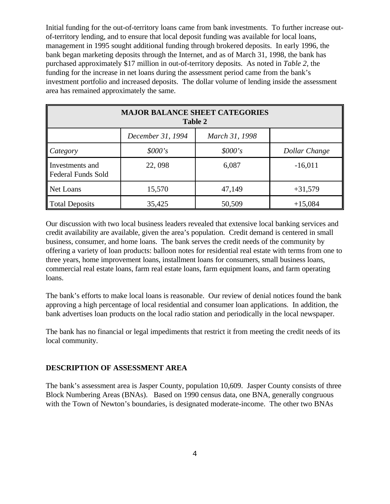Initial funding for the out-of-territory loans came from bank investments. To further increase outof-territory lending, and to ensure that local deposit funding was available for local loans, management in 1995 sought additional funding through brokered deposits. In early 1996, the bank began marketing deposits through the Internet, and as of March 31, 1998, the bank has purchased approximately \$17 million in out-of-territory deposits. As noted in *Table 2*, the funding for the increase in net loans during the assessment period came from the bank's investment portfolio and increased deposits. The dollar volume of lending inside the assessment area has remained approximately the same.

| <b>MAJOR BALANCE SHEET CATEGORIES</b><br><b>Table 2</b> |         |         |               |  |  |  |  |
|---------------------------------------------------------|---------|---------|---------------|--|--|--|--|
| March 31, 1998<br>December 31, 1994                     |         |         |               |  |  |  |  |
| $\mathcal{C}$ <i>dtegory</i>                            | \$000's | \$000's | Dollar Change |  |  |  |  |
| Investments and<br>Federal Funds Sold                   | 22,098  | 6,087   | $-16,011$     |  |  |  |  |
| Net Loans                                               | 15,570  | 47,149  | $+31,579$     |  |  |  |  |
| Total Deposits                                          | 35,425  | 50,509  | $+15,084$     |  |  |  |  |

Our discussion with two local business leaders revealed that extensive local banking services and credit availability are available, given the area's population. Credit demand is centered in small business, consumer, and home loans. The bank serves the credit needs of the community by offering a variety of loan products: balloon notes for residential real estate with terms from one to three years, home improvement loans, installment loans for consumers, small business loans, commercial real estate loans, farm real estate loans, farm equipment loans, and farm operating loans.

The bank's efforts to make local loans is reasonable. Our review of denial notices found the bank approving a high percentage of local residential and consumer loan applications. In addition, the bank advertises loan products on the local radio station and periodically in the local newspaper.

The bank has no financial or legal impediments that restrict it from meeting the credit needs of its local community.

#### **DESCRIPTION OF ASSESSMENT AREA**

The bank's assessment area is Jasper County, population 10,609. Jasper County consists of three Block Numbering Areas (BNAs). Based on 1990 census data, one BNA, generally congruous with the Town of Newton's boundaries, is designated moderate-income. The other two BNAs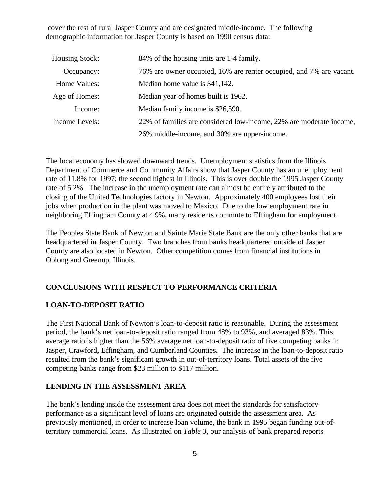cover the rest of rural Jasper County and are designated middle-income. The following demographic information for Jasper County is based on 1990 census data:

| Housing Stock: | 84% of the housing units are 1-4 family.                            |
|----------------|---------------------------------------------------------------------|
| Occupancy:     | 76% are owner occupied, 16% are renter occupied, and 7% are vacant. |
| Home Values:   | Median home value is \$41,142.                                      |
| Age of Homes:  | Median year of homes built is 1962.                                 |
| Income:        | Median family income is \$26,590.                                   |
| Income Levels: | 22% of families are considered low-income, 22% are moderate income, |
|                | 26% middle-income, and 30% are upper-income.                        |

The local economy has showed downward trends. Unemployment statistics from the Illinois Department of Commerce and Community Affairs show that Jasper County has an unemployment rate of 11.8% for 1997; the second highest in Illinois. This is over double the 1995 Jasper County rate of 5.2%. The increase in the unemployment rate can almost be entirely attributed to the closing of the United Technologies factory in Newton. Approximately 400 employees lost their jobs when production in the plant was moved to Mexico. Due to the low employment rate in neighboring Effingham County at 4.9%, many residents commute to Effingham for employment.

The Peoples State Bank of Newton and Sainte Marie State Bank are the only other banks that are headquartered in Jasper County. Two branches from banks headquartered outside of Jasper County are also located in Newton. Other competition comes from financial institutions in Oblong and Greenup, Illinois.

## **CONCLUSIONS WITH RESPECT TO PERFORMANCE CRITERIA**

#### **LOAN-TO-DEPOSIT RATIO**

The First National Bank of Newton's loan-to-deposit ratio is reasonable. During the assessment period, the bank's net loan-to-deposit ratio ranged from 48% to 93%, and averaged 83%. This average ratio is higher than the 56% average net loan-to-deposit ratio of five competing banks in Jasper, Crawford, Effingham, and Cumberland Counties**.** The increase in the loan-to-deposit ratio resulted from the bank's significant growth in out-of-territory loans. Total assets of the five competing banks range from \$23 million to \$117 million.

#### **LENDING IN THE ASSESSMENT AREA**

The bank's lending inside the assessment area does not meet the standards for satisfactory performance as a significant level of loans are originated outside the assessment area. As previously mentioned, in order to increase loan volume, the bank in 1995 began funding out-ofterritory commercial loans. As illustrated on *Table 3*, our analysis of bank prepared reports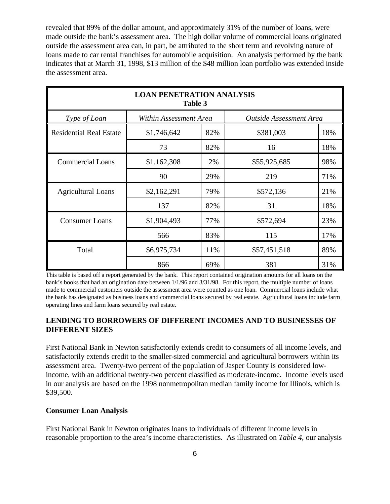revealed that 89% of the dollar amount, and approximately 31% of the number of loans, were made outside the bank's assessment area. The high dollar volume of commercial loans originated outside the assessment area can, in part, be attributed to the short term and revolving nature of loans made to car rental franchises for automobile acquisition. An analysis performed by the bank indicates that at March 31, 1998, \$13 million of the \$48 million loan portfolio was extended inside the assessment area.

| <b>LOAN PENETRATION ANALYSIS</b><br><b>Table 3</b> |                    |                                                   |              |     |  |  |  |  |
|----------------------------------------------------|--------------------|---------------------------------------------------|--------------|-----|--|--|--|--|
| Type of Loan                                       |                    | Within Assessment Area<br>Outside Assessment Area |              |     |  |  |  |  |
| <b>Residential Real Estate</b>                     | 82%<br>\$1,746,642 |                                                   | \$381,003    | 18% |  |  |  |  |
|                                                    | 73                 | 82%                                               | 16           | 18% |  |  |  |  |
| <b>Commercial Loans</b>                            | \$1,162,308        | 2%                                                | \$55,925,685 | 98% |  |  |  |  |
|                                                    | 90                 | 29%                                               | 219          | 71% |  |  |  |  |
| <b>Agricultural Loans</b>                          | \$2,162,291        | 79%                                               | \$572,136    | 21% |  |  |  |  |
|                                                    | 137                | 82%                                               | 31           | 18% |  |  |  |  |
| <b>Consumer Loans</b>                              | \$1,904,493        | 77%                                               | \$572,694    | 23% |  |  |  |  |
|                                                    | 566                | 83%                                               | 115          | 17% |  |  |  |  |
| Total                                              | \$6,975,734        |                                                   | \$57,451,518 | 89% |  |  |  |  |
|                                                    | 866                | 69%                                               | 381          | 31% |  |  |  |  |

This table is based off a report generated by the bank. This report contained origination amounts for all loans on the bank's books that had an origination date between 1/1/96 and 3/31/98. For this report, the multiple number of loans made to commercial customers outside the assessment area were counted as one loan. Commercial loans include what the bank has designated as business loans and commercial loans secured by real estate. Agricultural loans include farm operating lines and farm loans secured by real estate.

## **LENDING TO BORROWERS OF DIFFERENT INCOMES AND TO BUSINESSES OF DIFFERENT SIZES**

First National Bank in Newton satisfactorily extends credit to consumers of all income levels, and satisfactorily extends credit to the smaller-sized commercial and agricultural borrowers within its assessment area. Twenty-two percent of the population of Jasper County is considered lowincome, with an additional twenty-two percent classified as moderate-income. Income levels used in our analysis are based on the 1998 nonmetropolitan median family income for Illinois, which is \$39,500.

## **Consumer Loan Analysis**

First National Bank in Newton originates loans to individuals of different income levels in reasonable proportion to the area's income characteristics. As illustrated on *Table 4*, our analysis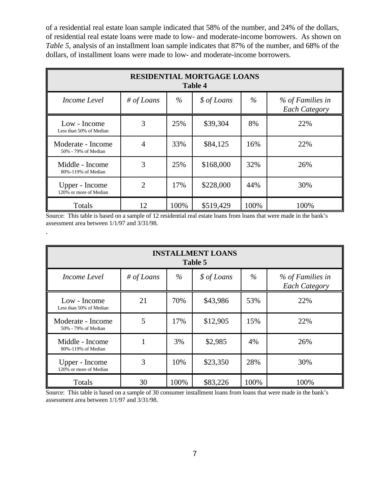of a residential real estate loan sample indicated that 58% of the number, and 24% of the dollars, of residential real estate loans were made to low- and moderate-income borrowers. As shown on *Table 5*, analysis of an installment loan sample indicates that 87% of the number, and 68% of the dollars, of installment loans were made to low- and moderate-income borrowers.

| <b>RESIDENTIAL MORTGAGE LOANS</b><br><b>Table 4</b> |                |      |             |      |                                          |  |  |
|-----------------------------------------------------|----------------|------|-------------|------|------------------------------------------|--|--|
| Income Level                                        | # of Loans     | $\%$ | \$ of Loans | $\%$ | % of Families in<br><b>Each Category</b> |  |  |
| Low - Income<br>Less than 50% of Median             | 3              | 25%  | \$39,304    | 8%   | 22%                                      |  |  |
| Moderate - Income<br>50% - 79% of Median            | 4              | 33%  | \$84,125    | 16%  | 22%                                      |  |  |
| Middle - Income<br>80%-119% of Median               | 3              | 25%  | \$168,000   | 32%  | 26%                                      |  |  |
| Upper - Income<br>120% or more of Median            | $\overline{2}$ | 17%  | \$228,000   | 44%  | 30%                                      |  |  |
| Totals                                              | 12             | 100% | \$519,429   | 100% | 100%                                     |  |  |

Source: This table is based on a sample of 12 residential real estate loans from loans that were made in the bank's assessment area between 1/1/97 and 3/31/98.

.

| <b>INSTALLMENT LOANS</b><br>Table 5      |            |      |             |      |                                          |  |  |
|------------------------------------------|------------|------|-------------|------|------------------------------------------|--|--|
| Income Level                             | # of Loans | $\%$ | \$ of Loans | $\%$ | % of Families in<br><b>Each Category</b> |  |  |
| Low - Income<br>Less than 50% of Median  | 21         | 70%  | \$43,986    | 53%  | 22%                                      |  |  |
| Moderate - Income<br>50% - 79% of Median | 5          | 17%  | \$12,905    | 15%  | 22%                                      |  |  |
| Middle - Income<br>80%-119% of Median    |            | 3%   | \$2,985     | 4%   | 26%                                      |  |  |
| Upper - Income<br>120% or more of Median | 3          | 10%  | \$23,350    | 28%  | 30%                                      |  |  |
| Totals                                   | 30         | 100% | \$83,226    | 100% | 100%                                     |  |  |

Source: This table is based on a sample of 30 consumer installment loans from loans that were made in the bank's assessment area between 1/1/97 and 3/31/98.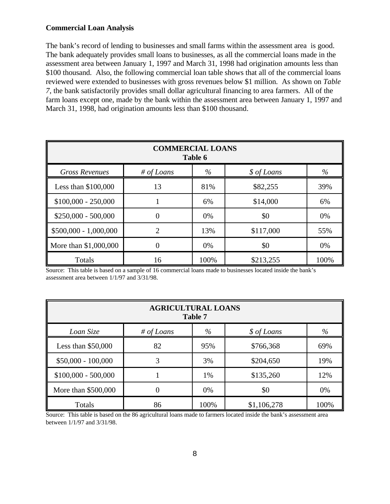#### **Commercial Loan Analysis**

The bank's record of lending to businesses and small farms within the assessment area is good. The bank adequately provides small loans to businesses, as all the commercial loans made in the assessment area between January 1, 1997 and March 31, 1998 had origination amounts less than \$100 thousand. Also, the following commercial loan table shows that all of the commercial loans reviewed were extended to businesses with gross revenues below \$1 million. As shown on *Table 7*, the bank satisfactorily provides small dollar agricultural financing to area farmers. All of the farm loans except one, made by the bank within the assessment area between January 1, 1997 and March 31, 1998, had origination amounts less than \$100 thousand.

| <b>COMMERCIAL LOANS</b><br>Table 6 |                |      |             |      |  |  |  |
|------------------------------------|----------------|------|-------------|------|--|--|--|
| <b>Gross Revenues</b>              | # of Loans     | $\%$ | \$ of Loans | $\%$ |  |  |  |
| Less than \$100,000                | 13             | 81%  | \$82,255    | 39%  |  |  |  |
| $$100,000 - 250,000$               |                | 6%   | \$14,000    | 6%   |  |  |  |
| $$250,000 - 500,000$               | 0              | 0%   | \$0         | 0%   |  |  |  |
| $$500,000 - 1,000,000$             | $\overline{2}$ | 13%  | \$117,000   | 55%  |  |  |  |
| More than \$1,000,000              | 0              | 0%   | \$0         | 0%   |  |  |  |
| Totals                             | 16             | 100% | \$213,255   | 100% |  |  |  |

Source: This table is based on a sample of 16 commercial loans made to businesses located inside the bank's assessment area between 1/1/97 and 3/31/98.

| <b>AGRICULTURAL LOANS</b><br>Table 7 |            |      |             |      |  |  |  |
|--------------------------------------|------------|------|-------------|------|--|--|--|
| Loan Size                            | # of Loans | $\%$ | \$ of Loans | $\%$ |  |  |  |
| Less than $$50,000$                  | 82         | 95%  | \$766,368   | 69%  |  |  |  |
| $$50,000 - 100,000$                  | 3          | 3%   | \$204,650   | 19%  |  |  |  |
| $$100,000 - 500,000$                 |            | 1%   | \$135,260   | 12%  |  |  |  |
| More than \$500,000                  |            | 0%   | \$0         | 0%   |  |  |  |
| Totals                               | 86         | 100% | \$1,106,278 | 100% |  |  |  |

Source: This table is based on the 86 agricultural loans made to farmers located inside the bank's assessment area between 1/1/97 and 3/31/98.